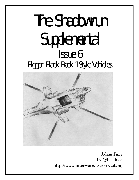# The Shadowrun **Supplemental** Issue 6 Rigger Black Book 1 Style Vehicles



Adam Jury fro@lis.ab.ca http://www.interware.it/users/adamj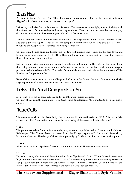## Editors Notes

2

Welcome to issues # 6, Part 2 of The Shadowrun Supplemental! This is the on-again off-again Rigger/Vehicle issue, which as you can see, is on-again!

I sincerely apologize for the lateness of this issue. The reasons were multiple, a lot of it doing with the winter break for most college and university students. Then, my internet provider canceling my dial-up account without fore-warning me delayed it a few more days.

You will note that this is only one piece of the issue, the Rigger Black Book 1 Style Vehicles (Whew. Say that 3 times fast.), the other two pieces being the normal issue (Online and available as I write this.) and the Rigger 2 Style Vehicles (Still being worked on.)

The reasoning behind splitting the issue up was two-fold, number one to keep the file size down, and two, because some people prefer RBB1 or Rigger 2 for various reasons, and only want the vehicles that will work with their statistics.

Not only do we bring you a ton of great stuff to enhance and expand on Rigger2, but for those of you that enjoy miniatures, or want to start, we've cut a deal with Ral Partha, check out the bargain prices on vehicle related mini's! The order form and details are available in the main issue of The Shadowrun Supplemental # 6

None of this issue is meant to be a challenge to FASA or to Jon Szeto. Instead, it's meant to push the rigger spectrum of Shadowrun even further than FASA hoped.

# The Rest of the Normal Opening Credits and Stuff

KYU, who wrote up all these vehicles and found the appropriate pictures. The rest of this is in the main part of The Shadowrun Supplemental  $^{\#}$ 6. I wanted to keep this under a page..

# Picture Credits

The cover artwork for this issue is by Barry Beldam JR, the staff artist for TSS. The rest of the artwork is culled from various sources, so here's a listing of them — credit where it's due!

#### Cars

The photos are taken from various motoring magazines, except Isdera taken from article by Markus Kohlberger. The "Rover Ascot" is taken from the Manga "Appleseed", Story and Artwork by Masamune Shirow. The design of the car is apparently by S. Mead, but  $\Gamma$  m not sure on that point.

#### Bikes

All Bikes taken from "Appleseed" except Vector VS taken from Shadowrun: DMZ cover.

#### Others

Dorocilo, Argus, Mosquito and Scorpion taken from "Appleseed". G14 ACV and Mistral taken from "Cyberpunk: Hardwired the Sourcebook". G14 ACV designed by Karl Martin, Mistral by Harrisson Fong. Tsumukari taken from Mutant Chronicles novel "Frenzy". "Military Ground Vehicles" and Hermes taken from FASA: Mercenaries Handbook, a BattleTech sourcebook.

The Shadowrun Supplemental — Rigger Black Book 1 Style Vehicles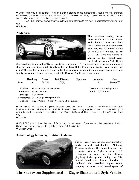» What's this, you're all saying? Well, in digging around some datastores, I found this old archived conversation, from back in '52. Since these cars are still around today, I figured we should publish it, so you can know what you may be going up against.

I took the liberty of converting the old time-date stamps to the new universal format, for ease of use.

» NuDawn

#### Audi Avus



This purebred racing design comes as a bit of a surprise from Audi, better known for their "A12" Sedan and their top-notch rally car, the '53 Paris-Dakkar Ground-Vehicle Winner, the "A9 GTX". The Avus was named in honour of the rebuilt Avus racetrack in Berlin, AGS. It was

destroyed in a bomb raid in '32, but has been reopened in '47. The test results so far seem to indicate that the new Audi team might finally make the Euro-Rally Production Sports Circuit interesting again! This publicly available version makes few compromises when it comes to performance. There is only one colour scheme currently available, Chrome, Audi's own team colour.

|                | <b>Handling</b> | <b>Speed</b>                          | <b>Build/Armor</b>                         | Signature          |  | <b>Autopilot</b>           | Cost     |
|----------------|-----------------|---------------------------------------|--------------------------------------------|--------------------|--|----------------------------|----------|
| Avus           | 3/8             | 80/250                                | 2/1(3)                                     |                    |  |                            | 280,000Y |
| <b>Seating</b> |                 | Twin bucket seats + bench             |                                            |                    |  | Access 2 standard/open top |          |
| Economy        |                 | 35 km per liter                       |                                            | Fuel IC/150 liters |  |                            |          |
| Storage        | 3 CF trunk      |                                       |                                            |                    |  |                            |          |
|                |                 | Accessories Crash Cage, Datajack Link |                                            |                    |  |                            |          |
| <b>Options</b> |                 |                                       | Rigger Control Gear (No extra CF required) |                    |  |                            |          |

» This is a Beauty! I've had the privilege of test-driving one of the Audi team cars on their track in the Rhein-Ruhr Sprawl. It doesn't have an AP, but it doesn't need it; It's just glued to the track. I caned it up to 362 kph, but that's nowhere near Jiri Seman's 396 in his Dynamit. He's gonna crack the 400 soon, I tell you.

» Sally Hill

» What, THE Sally Hill is on this board? Good luck for next season from me and the boys here at Motor Show! I hope your team got the glitches in your 2000-Turbo fixed. » Gordon Bryce

#### Aztechnology Motoring Division Atalante



The first entry into the sportscar market by newly formed Aztechnology Motoring Division combines the opulent luxury one associates with a Nightsky with SOTA technology to make this the ultimate plaything of the up and coming Exec. The natural wood and leather interior is combined with excellent engine sound damping and a surround sound system of

The Shadowrun Supplemental — Rigger Black Book 1 Style Vehicles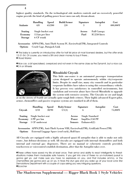highest quality standards. On the technological side modern controls and an excessively powerful engine provide the kind of pulling power lesser men can only dream about.

| Atalante                                    | <b>Handling</b>                                     | Speed  | <b>Build/Armor</b> | Signature      | <b>Autopilot</b>                    | Cost     |
|---------------------------------------------|-----------------------------------------------------|--------|--------------------|----------------|-------------------------------------|----------|
|                                             | 4/8                                                 | 65/200 | 2/0                | 3              | 3                                   | 400,000Y |
| <b>Seating</b><br>Economy<br><b>Storage</b> | Single bucket seat<br>15 km per liter<br>6 CF trunk |        |                    | Access<br>Fuel | <b>Full Canopy</b><br>IC/250 liters |          |

Accessories APPS(TM), Anti-Theft System IV, EnviroSeal(TM), Integrated Controls Options Crash Cage, Datajack Link

» This baby is currently on introductory offer for half list price at most licensed dealers, but the offer ends 12-31-54. Of course, you need a SIN and clean money to buy it there... » Road Warrior

»Nice car, a bit specialised, overpriced and not even in the same class as the Dynamit, but a nice car. **OC4 on Wheels** 



#### Mitsubishi Citycab

This little one-seater is an automated passenger transportation sytem designed to operate autonomously within city/corporate limits. Despite its small size, many city councils and in particular corporate facilities have taken to using this extraordinary vehicle. It has proven very satisfactory in controlled environments, but vandalism and terrorist abuse have forced Mitsubishi to upgrade the system with extensive security. The Citycabs we see and laugh

at on the streets of Seattle are actually quite tough little critters. Their highly advanced Expert-pilot, armor, chemsniffers and passive response systems are standard in all of them.

|         | <b>Handling</b>                   | <b>Speed</b> | <b>Body/Armor</b> | Signature                               | <b>Autopilot</b> | Cost    |
|---------|-----------------------------------|--------------|-------------------|-----------------------------------------|------------------|---------|
| Citycab | 3/10                              | 30/90        | 1/1(3)            |                                         |                  | 75,000Y |
|         | <b>Seating</b> Single bucket seat |              |                   | <b>Single Standard</b><br><b>Access</b> |                  |         |
|         | <b>Economy</b> 3 PF per km        |              |                   | $ImpElec/150$ PF<br>Power               |                  |         |
|         | Storage 1 CF underseat            |              |                   | Enhanced(2)<br><b>Sensors</b>           |                  |         |

Accessories APPS(TM), Anti-Theft System VIII, EnviroSeal(TM), GridLink Power(TM) Options External Luggage Space (roof rack), Roll bars

All Citycabs are equipped with a highly advanced quasi-AI autopilot that is able to make not only route-, but defense-decisions as well. All citycabs are equipped with internal chemsniffers and both internal and external gas- dispensers. There are no manual or cybernetic controls provided, touchscreen or voicecontrol establish destination, after that the Autopilot takes over.

»These critters have saved my life at least once. Their armor and ability to react intelligently to threatsituations makes them invaluable safe havens. If you get into one of these no un-motorised pursuit is gonna get ya. Just make sure you have no explosives on you, and that includes ammo, or the chemsniffers are gonna pick up on ya, in flows the stun gas and you wake up at your local Lone Star Demolotions Department with a couple of cops asking you very intriguing questions. **OScorcher** 

The Shadowrun Supplemental — Rigger Black Book 1 Style Vehicles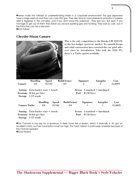»Never make the mistake of underestimating these in a corporate environment! The gas dispensers have a large reservoir and they can carry ANY gas. They also tend to have password activation if passive alert is triggered in the complex, and if you don't know the password , they gas you. But even if you manage to get out of them they follow you around spewing gas and honking. They look so cute, but in the thick they can be a real pain. »B'n'E Failure

#### **Chrysler-Nissan Camaro**



This is the only competition to the Honda-GM 3220 ZX in the low-budget sportscar market. Its smooth design and solid construction have ensured this car good sales ever since its introduction. Like with the 3220 ZX, there is a Turbo option available.

|                                                          | <b>Handling</b> | <b>Speed</b>                             |              | <b>Build/Armor</b> |                | Signature      | <b>Autopilot</b>         | Cost    |
|----------------------------------------------------------|-----------------|------------------------------------------|--------------|--------------------|----------------|----------------|--------------------------|---------|
| Camaro                                                   | 4/8             | 45/130                                   |              | 3/0                |                | $\overline{2}$ | 1                        | 35,000Y |
| Seating<br>Economy 40 km per liter<br>Storage 5 CF trunk |                 | Twin bucket seats + bench                |              |                    | Access<br>Fuel | IC/40 liters   | $2$ standard + hatchback |         |
|                                                          |                 | <b>Handling</b>                          | <b>Speed</b> | <b>Build/Armor</b> |                | Signature      | <b>Autopilot</b>         | Cost    |
| Camaro Turbo                                             |                 | 4/8                                      | 55/160       | 3/0                |                |                |                          | 45,000Y |
|                                                          |                 | <b>Seating</b> Twin bucket seats + bench |              |                    | Access         |                | $2$ standard + hatchback |         |
| Economy 30 km per liter                                  |                 |                                          |              |                    | Fuel           | IC/50 liters   |                          |         |
| Storage 4 CF trunk                                       |                 |                                          |              |                    |                |                |                          |         |

»The Camaro is too big for a sportscar. It feels more like a sedan, which it basically is. It's got an excellent motor, but fuel cosumption is just too high. The Turbo version is particularly unwieldy because of the minimal autopilot. »Road Warrior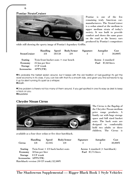

Pontiac is one of the few remaining truly American carmanufacturers. The StratoCruiser is a sedan aimed at the medium to upper medium strata of today's society. It was built to provide comfort and shows the same grace on the road as the luxury cars produced by Pontiac's competitors

while still showing the sporty image of Pontiac's legendary Griffin.

| <b>StratoCruiser</b> | <b>Handling</b><br>3/8               | Speed<br>50/150 | <b>Body/Armor</b><br>2/0 | Signature<br>-3 |                          | <b>Autopilot</b><br>$\overline{2}$ | Cost<br>30,000Y |
|----------------------|--------------------------------------|-----------------|--------------------------|-----------------|--------------------------|------------------------------------|-----------------|
| <b>Seating</b>       | Twin front bucket seats + rear bench |                 |                          |                 | Access 2 standard        |                                    |                 |
| Economy              | 25 km per liter                      |                 |                          |                 | <b>Fuel</b> IC/60 liters |                                    |                 |
| Storage              | 4 CF trunk                           |                 |                          |                 |                          |                                    |                 |
| Accessories          | APPS(TM)                             |                 |                          |                 |                          |                                    |                 |

Olt's probably the fastest sedan around, but it keeps with the old tradition of fuel-guzzling! It's got the worst economy in it's class. If you can live with that it's a smooth ride, and given you find someone to rig it up for silent running it's quiet as a whisper. »Wraith

»One problem is there's not too many of them around. If you get spotted in one it's easy as drek to keep a track on you. *OBluesSister* 

#### **Chrysler Nissan Cirrus**

6



The Cirrus is the flagship of the Chrysler-Nissan medium price range products. A family car with huge storage space and full sized bucket seats. The back seats are designed to comfortably hold two adults or three children. The Cirrus is

available as a four door sedan or five door hatchback.

|                                         | <b>Handling</b> | <b>Speed</b> | <b>Body/Armor</b>                   | Signature                           | <b>Autopilot</b> | Cost       |  |  |
|-----------------------------------------|-----------------|--------------|-------------------------------------|-------------------------------------|------------------|------------|--|--|
| <b>Cirrus</b>                           | 3/8             | 35/105       | 3/0                                 | 3                                   | $\overline{2}$   | $30,000$ Y |  |  |
| <b>Seating</b>                          |                 |              | Twin front $+2/3$ back bucket seats | Access $4$ standard $(+$ hatchback) |                  |            |  |  |
| Economy                                 | 50 km per liter |              |                                     | Fuel IC/75 liters                   |                  |            |  |  |
| Storage                                 | 8 CF trunk      |              |                                     |                                     |                  |            |  |  |
| Accessories APPS(TM)                    |                 |              |                                     |                                     |                  |            |  |  |
| Hatchback version (10 CF trunk) 32,500Y |                 |              |                                     |                                     |                  |            |  |  |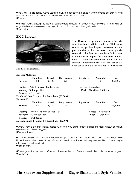»The Cirrus is quite spacy, we've used it on runs on occasion. It blends in with the traffic but can still hold two orks or a troll in the back seat plus a *lot* of ordnance in the trunk. »Tuskany

»It's also heavy enough to hold a considerable amount of armor without showing it, and with an upgraded motor we've even managed to outrun Patrol-Ones, although barely. *OBluesSister* 

## **EMC Eurocar**



The Eurocar is probably named after the Americar, but it definitely failed to fill the same role in Europe. Despite good craftsmanship and pleasant design this car never quite got the status that the Americar has here. It has been available as an import for some time and has found a steady customer base, but it still is a somewhat uncommon car. It is available as a 2 door sedan and 3-door hatchback in Multifuel

7

and IC configurations.

| <b>Eurocar Multifuel</b> |                                                  |              |                   |                |                      |         |
|--------------------------|--------------------------------------------------|--------------|-------------------|----------------|----------------------|---------|
|                          | <b>Handling</b>                                  | <b>Speed</b> | <b>Body/Armor</b> | Signature      | <b>Autopilot</b>     | Cost    |
| Eurocar                  | 4/8                                              | 35/105       | 2/0               | 3              | $\overline{2}$       | 25,000Y |
|                          | <b>Seating</b> Twin front/rear bucket seats      |              |                   | <b>Access</b>  | 2 standard           |         |
|                          | Economy 60 km per liter                          |              |                   | Fuel           | MultiFuel/25 liters  |         |
|                          | Storage 4 CF trunk                               |              |                   |                |                      |         |
|                          | Hatchback has 2 standard + hatchback $(27,500Y)$ |              |                   |                |                      |         |
| Eurocar IC               |                                                  |              |                   |                |                      |         |
|                          | <b>Handling</b>                                  | <b>Speed</b> | <b>Body/Armor</b> | Signature      | <b>Autopilot</b>     | Cost    |
| <b>Eurocar</b>           | 4/8                                              | 40/120       | 2/0               | $\overline{2}$ | $\overline{2}$       | 27,500Y |
| Seating                  | Twin front/rear bucket seats                     |              |                   |                | 2 standard<br>Access |         |
| Economy                  | 40 km per liter                                  |              |                   |                | Fuel<br>IC/30 liters |         |
| <b>Storage</b>           | 4 CF trunk                                       |              |                   |                |                      |         |
|                          | Hatchback has 2 standard + hatchback $(30,000Y)$ |              |                   |                |                      |         |

»What? They've got that wrong, mates. Over here you can't set foot outside the door without being run over by one of these buggers. **O**Grumpy Roger

»That's 'cause you live in Britain. The rest of Europe shuns it like the plague, don't ask me why. Back Down Under there's quite a few of the off-road conversions of these and they are well liked, cause they're reliable and easily serviced. **•Man at Work** 

**OSame goes for up here in Quebec. It seems the old Commonwealth likes this car a lot.** <grin> *OTrousseau*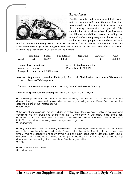

#### **Rover Ascot**

Finally Rover has put its experimental off-roader onto the open market! Under the name Ascot they have aimed it at the upper strata of society and the hunting community in general. The combination of excellent off-road performance, amphibious capabilities (even including an optional underwater package) and being the only civilian car with gunports as standards makes it

the first dedicated hunting car of the world. It has a GPS system as standard and ports for radiocommunication gear are integrated into the dashboard. It has also been offered to various security and police forces in Great Britain and Europe.

|                    | <b>Handling</b>                         | Speed    | <b>Build/Armor</b> | Signature                   | <b>Autopilot</b> | Cost    |
|--------------------|-----------------------------------------|----------|--------------------|-----------------------------|------------------|---------|
| Ascot              | 3/2                                     | $30/90*$ | 2/2(6)             |                             |                  | 50,000Y |
|                    | <b>Seating Twin bucket seat</b>         |          |                    | Access 2 standard/open top  |                  |         |
| Economy2 PF per km |                                         |          |                    | <b>Power ImpElec/300 PF</b> |                  |         |
|                    | Storage 1 $CF$ underseat $+ 2 CF$ trunk |          |                    |                             |                  |         |

Accessori Amphibious Operation Package I, Boat Hull Modification, EnviroSeal(TM) (water), es Tracker(TM) Suspension

Options Underwater Package: EnviroSeal(TM) (engine) and AOP II (8,000Y)

\* Off-Road Speed: 40/120 ; Waterspeed with AOP I: 5/15, AOP II: 10/30

» The development of this kind of car became necessary after the Dartmoor incident '49. Couple'a dozen nobles got massacred by grenades and nerve gas during a hunt. Green Cell considers the action to be one of their most succesful.

» Hobnobber

» The radical new suspension system and design make this car the most easily controlled car in off-road conditions. I've test driven one of these at the IAA motorshow in Dusseldorf. These critters can outmaneuver or outrun *anything* on the market today with the possible exception of the Thundercloud Pinto. You can bet I'm laundering my money right now to get one. » Jagdpanther

» Copy that. These critters are *amazing*! I've been on a run with Jagdpanther when he tried out his new Ascot. He dodged a volley of smart missiles from an attack helicopter! The things this car can do are unholy. And he escaped the helos by diving in a river. Splash, gone was his signature; heat, sound, movement, all masked by the water, and he just turned upstream when the helo started looking downstream, not expecting him to be able to. Great car, great driver! » Irrlicht

» Gee, thanks for the flowers!

» Jagdpanther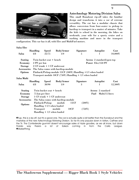

#### Aztechnology Motoring Division Salsa

This small Runabout rip-off takes the familiar design and transforms it into a car of extreme versatility. The car has a modular chassis that allows conversion from four-seater to pickup to hardtop to transport in a matter of minutes. Take the kids to school in the morning, the bikes on weekends, your wife for a sporty cruise and a washing mashine and more in the transport

configuration. This car has it all, with Elec and MultiFuel motors.

| Salsa Elec         |                 |                             |                                                              |             |           |      |                            |         |
|--------------------|-----------------|-----------------------------|--------------------------------------------------------------|-------------|-----------|------|----------------------------|---------|
|                    | <b>Handling</b> | Speed                       | <b>Body/Armor</b>                                            |             | Signature |      | <b>Autopilot</b>           | Cost    |
| Salsa              | 4/8             | 25/75                       | 1/0                                                          |             | 5         |      | 1                          | 10,000Y |
| <b>Seating</b>     |                 | Twin bucket seat + bench    |                                                              |             |           |      | Access 2 standard/open top |         |
| Economy            | 2 PF per km     |                             |                                                              |             |           |      | Power Elec/150 PF          |         |
| <b>Storage</b>     |                 | 2 CF trunk + 1 CF underseat |                                                              |             |           |      |                            |         |
| Accessories        |                 |                             | The Salsa comes with hardtop-module                          |             |           |      |                            |         |
| Options            |                 |                             | Flatback/Pickup module 15CF (500Y) Handling +1/1 when loaded |             |           |      |                            |         |
|                    |                 |                             | Transport module 10CF (750Y) Handling + 1/1 when loaded      |             |           |      |                            |         |
| Salsa Multi        |                 |                             |                                                              |             |           |      |                            |         |
|                    | <b>Handling</b> | <b>Speed</b>                | <b>Body/Armor</b>                                            |             | Signature |      | <b>Autopilot</b>           | Cost    |
| Salsa              | 4/8             | 30/90                       | 1/0                                                          |             | 3         |      | 1                          | 12,500Y |
| <b>Seating</b>     |                 | Twin bucket seat + bench    |                                                              |             |           |      | Access 2 standard          |         |
| Economy            |                 | 75 km per liter             |                                                              |             |           | Fuel | Multi/15 liters            |         |
| <b>Storage</b>     |                 |                             | 1 CF trunk + 1 CF underseat                                  |             |           |      |                            |         |
| <b>Accessories</b> |                 |                             | The Salsa comes with hardtop-module                          |             |           |      |                            |         |
| Options            |                 | Flatback/Pickup             | module                                                       | <b>15CF</b> | (500Y)    |      |                            |         |
|                    |                 | Handling $+1/1$ when loaded |                                                              |             |           |      |                            |         |
|                    | Transport       |                             | module                                                       | <b>10CF</b> | (750Y)    |      |                            |         |
|                    |                 | Handling $+1/1$ when loaded |                                                              |             |           |      |                            |         |

»Yup, this is a rip-off, but it's a good one. This car is actually quite a bit better than the Runabout and the mainstay of the new Aztechnology Motoring Division. So far it's only popular down in Aztlan, CalFree and the Tir. The Confederate guvmint doesn't encourage sales of Azzie goodies, as we all know, but down Florida way there's a lot of Salsa's coming in from the Carib League. **•MarketThing**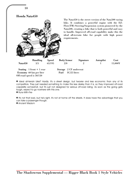

» Ideal all-terrain bike? Hardly. It's a street design, but heavier and less economic than any of its competitors. They just needed something to make this less drekky than it is, so they improved off-road capability somewhat, but it's just not designed for serious off-road riding. As soon as the going gets tough, expect to go nowhere with this one. » Runs-With-Fire

» It's not that bad, but he's right, it's not at home off the streets. It does have the advantage that you can take a passenger though. » Ancient Wisdom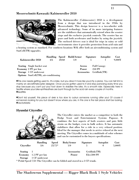#### Messerschmitt-Kawasaki Kabinenroller 2050



The Kabinenroller (Cabinscooter) 2050 is a development from a design that was introduced in the 1950s by Messerschmitt. This design however is a two-wheeler with advanced technology. Some of its more intriguing features are the stabilisers that automatically extend when the scooter stops and the exclusive joystick controls. The scooter has no gears and both accelerates and brakes by using the joystick. The enclosed drivers seat is ideal for trips in rainy or cold environments since it provides protection from acid rain and

a heating system as standard. For southern locations M-K offer both an airconditioning system and SunCell(TM) upgrades.

|                     |                                       |     |       | Handling Speed Build/Armor | Signature   |                    | <b>Autopilot</b> | Cost      |
|---------------------|---------------------------------------|-----|-------|----------------------------|-------------|--------------------|------------------|-----------|
|                     | Kabinenroller 2050                    | 4/6 | 20/60 | 1/0                        |             |                    |                  | $9,000$ Y |
|                     | <b>Seating</b> Single bucket seat     |     |       | <b>Access</b>              |             | <b>Full Canopy</b> |                  |           |
| Economy 2 PF per km |                                       |     |       | Power                      |             | 250 PF             |                  |           |
|                     | Storage 1 CF underseat                |     |       |                            | Accessories |                    | Gridlink(TM)     |           |
|                     | Options SunCell(TM), air-conditioning |     |       |                            |             |                    |                  |           |

»This one needs getting used to. It's a bike, but you drive it more like you'd fly a plane. You can tell M-K is mainly an aircraft/helicopter designer. Once you've gotten used to it and stop panicking every time you stop because you can't put your foot down to stabilise the bike, it's a smooth ride. Espescially here in Seattle where your bike-synthleathers are burnt through by the acid rain every couple of months. **OSeattlite** 

»Don't kid yourself, this piece of drek is too slow to outrun someone *running* after you! Of course if someone's looking for you but doesn't know where you are, in this one is the last place she'll be looking. **<sup>O</sup>**VectorMatrix

#### **Hyundai Cityroller**



The Cityroller enters the market as a competitor to both the Dodge Scoot and Entertainment Systems Papoose. It combines the best aspects of both scooters and puts little strain on the budget, even in bulk orders. It has automatic stabilizers that allow for a ride in a very relaxed position. Ideal for the manager that needs to arrive relaxed at the next meeting. The Cityroller comes in a multitude of color schemes and can be customized to the buyers specifications.

|                   | <b>Handling</b>       | <b>Speed</b> | <b>Body/Armor</b>  | Signature     | <b>Autopilot</b> | Cost   |
|-------------------|-----------------------|--------------|--------------------|---------------|------------------|--------|
| <b>Cityroller</b> | 3/6                   | $25/75*$     | 1/0                | 5             |                  | 5,000Y |
| Seating           |                       |              | <b>Accessories</b> | Gridlink(TM)  |                  |        |
|                   | Economy 1.5 PF per km |              | Power              | $Elec/200$ PF |                  |        |
| Storage           | 1 CF underseat        |              |                    |               |                  |        |

\* Pedal Speed 7/21 The Cityroller can be folded and stored in a 3 CF trunk.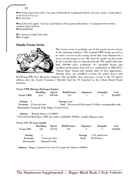»This *thing* is good fer nuthin. I've used a Papoose fer a gettaway before, but only 'cause I could keep it in de trunk of ma car. »Los Annoyios

»Read the intro again: "Can be customised to the buyers sepifications." In corpspeak that means weapon bays optional. **O**GenderBender

**• An armed scooter?** Get a life! **OSan Fragile** 

## **Honda Vector Series**

12



The Vector series is probably one of the grand success stories of the motoring industry. The original VRH design proved to be such a success in the racing circuit that soon demand for a street version began to rise. The basic IC model was the result. In the 6 months since its introduction the VIC model sold more than 500.000 units worldwide. It's beautiful design and excellent performance have led to a nomination in *Bikes'R'Us* "Classic Hogs" listing only months after its first appearance. Already there are modified versions for police forces and

DocWagon(TM) Fast Response Support. The probably most notorious version is the VS Sports edition after the Seattle Screamers' Outrider had his VS hi-jacked in the Urban Brawl Finals Incident.

#### Vector VRH (Racing, Hydrogen Engine)

| <b>Vector VRH</b> | Handling<br>2/10                               | Speed<br>100/300 | <b>Build/Armor</b><br>2/0                                                 | Signature | <b>Autopilot</b><br>4 | Cost<br>80,000Y |
|-------------------|------------------------------------------------|------------------|---------------------------------------------------------------------------|-----------|-----------------------|-----------------|
| Seating           |                                                |                  | Storage none                                                              |           |                       |                 |
|                   | <b>Economy</b> 25 km per liter                 |                  | <b>Fuel</b> Pressurised Hydrogen <sup>*</sup> /10 liter exchangeable tank |           |                       |                 |
|                   | Accessories Datajack Link, Rigger Control Gear |                  |                                                                           |           |                       |                 |

Options Racing Sidecar (12,000Y)

\* Pressurised Hydrogen: 500Y per tank, availability 8/48hrs, weight 20kg per tank.

| Vector VIC (IC basic model) |                 |                 |                    |                |                  |         |
|-----------------------------|-----------------|-----------------|--------------------|----------------|------------------|---------|
|                             | <b>Handling</b> | <b>Speed</b>    | <b>Build/Armor</b> | Signature      | <b>Autopilot</b> | Cost    |
| <b>Vector VIC</b>           | 3/8             | 70/210          | 2/0                | $\overline{2}$ |                  | 20,000Y |
| <b>Seating</b>              |                 |                 |                    | <b>Storage</b> | 1 CF underseat   |         |
| Economy                     |                 | 75 km per liter |                    | Fuel           | IC/20 liters     |         |
| <b>Accessories</b>          |                 | Datajack Link   |                    |                |                  |         |

Options Rigger Control Gear (no CF required), Sidecar (2000Y)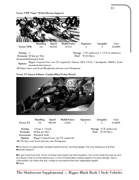Vector VPR "Viper" (Police/Rescue Support)



Economy 60 km per liter Fuel IC/25 liters

Seating 1 Storage 1 CF underseat + 2 CF in sideboxes

AccessoriesDatajack Link

Options Rigger Control Gear (no CF required), Sidecar (B/A 1/1(3), 1 hardpoint, 5000Y), front mounted microturret

All Vipers have one front Hardpoint and one rear Firmpoint.

#### Vector VS (Sports Edition -Combat Biker/Urban Brawl)



|                                                | <b>Handling</b>     | <b>Speed</b> | <b>Build/Armor</b>                   | Signature | <b>Autopilot</b>       | Cost    |
|------------------------------------------------|---------------------|--------------|--------------------------------------|-----------|------------------------|---------|
| <b>Vector VS</b>                               | 3/6                 | 80/240       | 2/2(6)                               |           | 3                      | 25,000Y |
| <b>Seating</b>                                 | $1$ front $+1$ back |              |                                      |           | Storage 2 CF underseat |         |
| Economy                                        | 60 km per liter     |              |                                      |           | IC/25 liters<br>Fuel   |         |
| Accessories                                    | Datajack Link       |              |                                      |           |                        |         |
| Options                                        |                     |              | Rigger Control Gear (no CF required) |           |                        |         |
| All VSs have one front and one rear Firmpoint. |                     |              |                                      |           |                        |         |

»The Vector is a great bike. Excellent performance, stunning design, the only drawback is its thirst. »Ancient Wisdom

»It's got more than that. Some of these have faulty fuel tank insulation. The motor heats the fuel up and you leave a trail of fumes behind you. If one of those bikes crashes expect it to blow skyhigh. Also a chemsniffer can follow the trail, makes for somewhat less than desireable stealth. **O**Icarus

The Shadowrun Supplemental — Rigger Black Book 1 Style Vehicles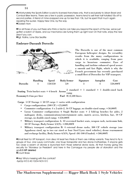»Unfortunately the Sports Edition is sold to licensed franchises only, that is exclusively to Urban Brawl and Combat Biker teams. There are a few in public possession, teams tend to sell their half-totalled VSs off to second parties. A friend of mine snapped one up for less than 10k, but he spent that much again repairing the sucker. Happy New One, by the way. »Golden Horn

»For all those of you out there who think a Vector can take you beyond the reach of the law, we've just gotten a batch of Vipers, and our mechanics are tuning them up right now! On that note, enjoy the new year if you can.

»Sgt. Rollins, Lone Star Seattle

#### Embraer-Dassault Dorocilo



The Dorocilo is one of the most common European helicopter designs. Its versatility results from the many configurations in which it is available, ranging from pure cargo to luxurious commuter. Ease of handling and turbine enhanced speed assure a smooth and fast flight, which is why the French government has recently purchased a small fleet of Dorocilos for VIP transport.

|                 | Handling | ${\bf Speed}$ | 4 Body/Armor | Signature | <b>Autopilot</b> | Cost     |
|-----------------|----------|---------------|--------------|-----------|------------------|----------|
| <b>Dorocilo</b> |          | 150/350       | 5/0          |           | Δ.               | 550,000Y |

Seating Twin bucket seats  $+6$  bench Access  $2$  standard  $+1$  standard  $+1$  double-sized back ramp  $E_{\rm{conomy}}$ 0.4 km per liter Fuel  $\rm{IC}/2,500$  liters

Cargo  $5$  CF Storage  $+$  50 CF cargo  $+$  varies with configuration

- Cargo configuration:  $(500 \text{ CF}) + 25{,}000\text{Y}$
- Commuter configuration:  $4 \times 2$ -aisle-2, 16 CF luggage, no double-sized ramp;  $+50,000Y$
- Luxus Commuter configuration: 6 Single Bucket seats + 2 fold-up benches for aides, 2 mahogany desks, communications/entertainment suite, matrix access, kitchen, bar, 10 CF storage, no double-sized ramp; +250,000Y
- Military transport configuration A: 10 oversized bucket seats, weapon rack, tacticomm link, 30 CF Storage, Body/Armor 5/3(9); +200,000Y
- Military transport configuration B: 4 external drone racks, 300 CF vehicle storage (one Appaloosa sized, up to two car sized or four Steel Lynx sized vehicles), drone rearmament and recharge facility, Body/Armor 6/3(9), Speed -30/-100 if loaded; +500,000Y

»Small fleet for VIP transport, mon dieu! At least two thirds of them are military variants. They tend to fly in groups of four, one Luxury commuter, one troup transporter and two drone-motherships. If anyone gets too close a swarm of drones is launched from those external drone racks. All that money going into security for "Monsieur Le President" and here in the Camargue my people die of starvation and the gov**0.5 MP deleted** »Count Brass

**•Hey! Who's messing with the controls?** -SysOp IV(12:40:10/04-NOV-51)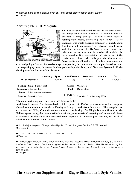15

» That was in the original archived version -- that attack didn't happen on this system

» NuDawn

## **Northrup PRC-51F Mosquito**



This new design which Northrop puts in the same class as the Wasp/Yellowjacket F-models, is actually quite a different working principle. It utilises twin counterrotating main rotors, eliminating the need for a tail or stabiliser. The whole design is extremely compact, about 3 meters in all dimensions. This extremely small design and the advanced Fly-By-Wire system mean this helicopter can go into even the smallest throughfair. In the astounding first presentation of this design at the Oshkosh Air Show earlier this year the Mosquito was flown *inside* a mall and was still able to maneuvre and

even dodge ligth fire. An impressive display, espescially in view of the very sophisticated weapons and targetting systems, developed in close partnership with Integrated Weapons Systems PLC, the developers of the Cerberus Multilauncher.

|       |                                   | <b>Handling</b> | <b>Speed</b> | <b>Build/Armor</b> | Signature                         | <b>Autopilot</b> | Cost     |
|-------|-----------------------------------|-----------------|--------------|--------------------|-----------------------------------|------------------|----------|
|       | <b>PRC-51 Mosquito</b>            | $\overline{2}$  | 60/120       | 1/1(3)             | $5/7*$                            | $\overline{2}$   | 250,000Y |
|       | <b>Seating</b> Single bucket seat |                 |              | <b>Access</b>      | Open top                          |                  |          |
|       | <b>Economy 5 km per liter</b>     |                 |              | Fuel               | IC/60 liters                      |                  |          |
| Cargo | 1 CF storage underseat            |                 |              |                    |                                   |                  |          |
|       |                                   |                 |              | <b>ECM/ECC</b>     |                                   |                  |          |
|       | <b>Sensors</b> Security $I(4)$    |                 |              | M                  | Security $I(1)$ /Security $II(2)$ |                  |          |

\* In autorotation signature increases to 7, Glide ratio 1:3

Additional Features: The disassembled vehicle requires 10 CF of cargo space to store for transport. One micro under-chin turret with a 180 degree firing arc to the front is standard. The Mosquito can carry one IWS "Midgie" multilauncher under each stub wing. The Midgie is a modification of the Ballista system using the same missiles but utilizing sensor-assisted targeting and automated choice of warheads. It also sports the increased ammo capacity of 6 missiles per launcher, any or all of which can be launched simultaneously.

» Ha, this is just a rip-off of the good old Ilyushin "Zobel", the great Russian **1.2 MP deleted** » Anatoly K

» Yes yes, chumski. And beavers the size of bears, hmm?

» Watcher

» My apologies Anatoly. I have been informed that the Mosquito, albeit indirectly, actually *is* a rip-off of the Zobel. The Zobel is a Russian racing helicopter that won the last 2 Paris-Dakkar Aircraft races against competition by both T-birds and Boeing Eagles. A great achievement. Again, I'm sorry, it's become a kind of reflex.

» SysOp IV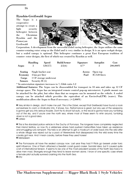#### Ilyushin-Greifswald Argus

The Argus is a cooperative attempt to create a light security helicopter between the Ukrainian Ilyushin and the Pomoryan Greifswald



Corporation. A development from the successful Zobel racing helicopter, the Argus utilizes the same counter-rotating rotor setup as the Zobel and is very similar in design. It is an open cockpit design, but a sealed canopy is optional. This helicopter continues a great East European tradition of counter- rotor designs, the first of which was created by Ilyushin as well.

|                | <b>Handling</b>   | <b>Speed</b>           | <b>Build/Armor</b>                 | Signature | <b>Autopilot</b> | Cost     |
|----------------|-------------------|------------------------|------------------------------------|-----------|------------------|----------|
| Argus          | 3                 | 120/275                | 2/2(6)                             | $4/7*$    |                  | 200,000Y |
| Seating        |                   | Single bucket seat     |                                    | Access    | Open top         |          |
| Economy        | 4 km per liter    |                        |                                    | Fuel      | IC/120 liters    |          |
| Cargo          |                   | 1 CF storage underseat |                                    |           |                  |          |
| <b>Sensors</b> | Security II $(5)$ |                        |                                    |           |                  |          |
|                |                   |                        | $\sim$ $\sim$ $\sim$ $\sim$ $\sim$ |           |                  |          |

\* In autorotation signature increases to 7, Glide ratio 1:2

Additional features: The Argus can be disassembled for transport in 10 min and takes up 12 CF storage space. The Argus has an integrated remote control pop-up microturret. A pintle mount can be attached for the pilot, but other than that no weapons can be mounted on the vehicle. A sealed canopy can be attached which provides the equivalent of an EnviroSeal(TM) (water). This modification allows the Argus to float if necessary.  $(+2,000Y)$ 

» Very similar in design, don't make me yarf. This *is* the Zobel, except that Greifswald have found a nook somewhere to cram a Vindicator into. It shows, too. Performance is great, but any use of the weaponry is gonna get you into serious trouble. Don't try to shoot full-auto, or the recoil is gonna have you tumbling out of the sky, and if you're over the north sea, where most of these seem to whirr around, tumbling down is *not* a good idea.

#### » Larissa

» This is the standard police vehicle in the Duchy of Pomorya. The longears have completely neglected their inland territory, so now it's a wilderness where hard pushed metacritters have taken up residence and smuggling runs rampant. This helo is an attempt to get a modicum of order back into the wild after a whole village was wiped out by a pack of Werewolves that dissapeared into the wild every time the cavalry got near. And I mean cavalry, before these they used horses! » Metadeern

» The Pomoryans all have the sealed canopy now. Last year they had 9 Pilots go berserk under toxic spirit influence. One of them attacked a Swedish coast guard cruiser. Suicidal idea, but it caused quite a bit of international tension. It seems to be one of the most prevalent powers of the North Sea toxics to drive men mad. Strangely enough they tend to leave women alone. I know of one specific case where a female pilot actually survived crashing into the North Sea. **O** KYU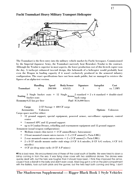#### **Fuchi Tsumukari Heavy Military Transport Helicopter**



The Tsumukari is the first entry into the military vehicle market by Fuchi Aerospace. Commissioned by the Imperial Japanese Army, the Tsumukari narrowly beat Renraku's Tendai to the contract. Although the Tendai is superior in most aspects, the lower production cost of this hi-tech copter won the day. A turbo-jet enhanced two-tail design, this behemoth of a helicopter would probably beat even the Dragon in loading capacity if it wasn't exclusively produced in the armored infantry configuration. The exact specifications have not been made public, but we managed to retrieve the figures of an alpha-test version.

|                           | <b>Handling</b> | <b>Speed</b> | <b>Body/Armor</b> | Signature            | <b>Autopilot</b> | Cost                                                                                                                   |
|---------------------------|-----------------|--------------|-------------------|----------------------|------------------|------------------------------------------------------------------------------------------------------------------------|
| Tsumukari                 |                 | 200/400      | 6/4(12)           |                      |                  | ca. 7.5MY                                                                                                              |
|                           |                 |              |                   |                      |                  | Seating $\frac{3}{3}$ Single bucket seats + 12 Single $\frac{2}{3}$ standard + 2 x 6 standard + double-sized back ramp |
| Economy 0.25 km per liter |                 |              |                   | Fuel IC/6,000 liters |                  |                                                                                                                        |

| Cargo               | $5 CF$ Storage + 400 $CF$ cargo |                        |
|---------------------|---------------------------------|------------------------|
| Accessories Unknown |                                 | <b>Options</b> Unknown |

Cargo space used for either:

- 12 ground support, special equipment, powered armor, surveillance equipment, control center
- 1 manned APC and 12 ground support
- up to 8 Combat Drones, refuelling and rearmament equipment and 12 ground support Armament (usual weapon configuration):
	- Medium remote chin turret  $+4$  CF ammo(Rotary Autocannon)
	- 2 front mounted remote micro turrets  $+ 2 \times 2$  CF ammo(2 x Twin LMG)
	- 2 rear mounted remote micro turrets  $+ 2 \times 2$  CF ammo(2 x Twin LMG)
	- 2 x 8 CF missile mounts under stub wings (4 CF A-A missiles, 8 CF A-G rockets, 4 CF A-G missiles)
	- 4 CF air-drop mine racks (4 CF A-P mines)

»This is bad news. We encountered one of these off the coast south of Seattle. We were hired to down a blimp coming in from the sea. It was flying close cover with two additional drones. The drones were quickly dealt with, but the helo was tougher than it should have been. I think they improved the armor, cause it took a Bandit in the belly and didn't even croak. Mad Dog got in a hit on the pilot-compartment with the Ballista, took out both pilots and the gunner, but the helo kept both coming and firing. I don't

The Shadowrun Supplemental — Rigger Black Book 1 Style Vehicles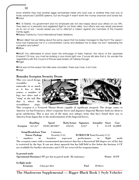know whether they had another rigger somewhere inside who took over or whether they had one of those advanced Cylot(TM) systems, but we thought it wasn't worth the money anymore and turned tail.  $\odot$ carus

»Mr. El Rashid, my government and my employers are not very happy about your attack on our VIPs. They were on a peaceful and registered flight to our Elven allies. Your attack was very nearly perceived as an act of war. I would advise you not to attempt a mission against any members of the Imperial Family again.

»Masaru Yoshitumo, Fuchi International Public Relations

 »Elven Allies? Are we talking about the same Japan that I've barely managed to flee from? The Japan I know has imprisoned me in a concentration camp and sterilized me to keep me from "spreading the corruption any further"!

»Willow

»What? You attempted to shoot down the entourage of Keiko Yashani, the niece of the Japanese Emperor? Oh boy, you must be shaking in your boots right now. If you're still alive that is. No wonder the negotiations with the Council of Princes were broken off halfway through. »Angel

»That was not the reason the talks were cancelled. There was more. A lot more. **•**Aegis

#### Renraku Scorpion Security Drone

This very novel design resembles its namesake in as much as it has a thick armor, a number of legs, two claws and a "sting" at the tail. But that is where the resemblance stops.



This scorpion is a Vectored Thrust Drone capable of significant airspeed. The design comes to America via San Francisco, where corporate forces and Japanese Imperial Marines both use them to great satisfaction. This is just one of the many new milspec items that have found their way to America from Japan due to the modernization of the Imperial forces.

|                 | <b>Handling</b>             | <b>Speed</b>                                                                                           | <b>Body/Armor</b> | Signature                           | Autopilot Store |        | Cost          |
|-----------------|-----------------------------|--------------------------------------------------------------------------------------------------------|-------------------|-------------------------------------|-----------------|--------|---------------|
| <b>Scorpion</b> | $3/3$ $(3)^*$               | $10/30$ $(30/100)*$                                                                                    | 4/4(12)           | $5/(2)^{*}$                         | 3               |        | 15 CF 25,000Y |
|                 | <b>Setup/Breakdown Time</b> | 2 minutes                                                                                              |                   |                                     |                 |        |               |
|                 | <b>Sensor Package</b>       | Security $I(4)$                                                                                        |                   | <b>ECM/ECCM None/Security I (1)</b> |                 |        |               |
| $\star$         | in<br>numbers               | brackets                                                                                               | represent         | performance in                      |                 | flight | mode          |
|                 |                             | The scorpion comes with a rearmounted microturret that has a theoretical 360 degree arc of fire but    |                   |                                     |                 |        |               |
|                 |                             | is restricted by the legs. It can not shoot upwards but has full field to fire below the horizon. 6 CF |                   |                                     |                 |        |               |
|                 |                             | are available for further electronics and 4 CF are reserved for weapons/ammo.                          |                   |                                     |                 |        |               |
|                 |                             |                                                                                                        |                   |                                     |                 |        |               |
| In ground mode  |                             |                                                                                                        |                   |                                     |                 |        |               |
|                 |                             | Operational Duration 3 PF per km in patrol mode 8h stationary                                          |                   |                                     |                 |        | Power 30 PF   |
|                 |                             |                                                                                                        |                   |                                     |                 |        |               |

In flight mode

Economy 2 km per liter Fuel 40 liters

The Shadowrun Supplemental — Rigger Black Book 1 Style Vehicles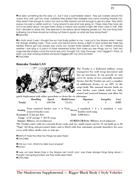»I've seen something like this near L.A., but it was a submersible version. They just crawled around the ocean floor until I got too close. Suddenly they started their waterjets and came shooting towards me. They weren't fast enough to catch me and my little torpedo but fast enough to get any diver. They didn't pursue me past a certain point so I hung around to see what was going on. Those claws they have are not to be joked about. I've seen them shear a merrow who picked a fight with them clear in half. After that I decided to leave fast, they seemed to be serious about keeping people out. The only thing that's bothering me is there should be nothing out there to guard, so what are they doing there? **OSubhunter** 

»So *that's* what it was! I thought the sun had finally gotten to me. I was out in the Mojave when I heard this strange whistling noise. I took cover and behind some dunes a flight of what looked like these big lobsters they've got over Europe way came out. Except those lobsters don't fly. So I started checking whether I was lying in a patch of those awakened lichen that make you see things, but no. Then two huge bee-like shapes came the same way and I thought "Oh, frag! The bugs." and I legged it. Phew, at least I can stop worrying whether someone fragged with my mind out there. **O**ChinChiller

### **Renraku Tendai LAV**



The Tendai is a dedicated military troop transporter for swift troop movement and fast air insertions. It can provide its own cover by means of two externally mounted drones, but the Tendai can carry a number of additional drones or an APC in the cargo hold. The unusual interior holds six twin bucket seats which hold two fully armed and armored humans and allow for

quick deployment with either parachute or down the six sideramps.

|        | Handling | <b>Speed</b> | <b>Build/Armor</b> | Signature | <b>Autopilot</b> | Cost |
|--------|----------|--------------|--------------------|-----------|------------------|------|
| Tendai |          | 350/700      | 7/5(15)            |           |                  | 20MY |

Seating Twin armored bucket seat + 6 Twin  $\text{Access}^2$  standard + 2 x 3 standard + rear double-sized ramp Economy 0.75 km per liter Fuel 4,000 liters

Cargo 6 CF storage  $+30$  CF cargo

Sensors Military, level unknown ECM/ECCM Both: Military, level unknown

The Tendai comes with two external drone racks and two small remote turrets. It can hold up to 20 "Naga" Air-drop anti-personnel mines and is fitted with four automatic grenade launchers for area cover with either smoke, tear or stun gas.

**OTHAT'S IT! Thats the other two things I've seen there! OChinChiller** 

»Chill out, mon. What'cho talkin bout anyway? »Yomon

»I was out near Seven-Oaks in the Mojave last month and I saw these strange things flying about. I thought I was going bonkers, but they really were there! **OChinChiller**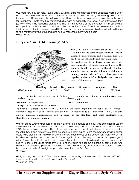»So that's how they got here. Seven-Oaks U.S. Military base was attacked by the Japanese Marine Corps on Christmas Eve. Most of us were butchered in our sleep, we had nearly no warning period, they jammed us until they were right on top of us. And trust me, those Naga mines can easily be exchanged for smartbombs, that's how they neutralised all our anti air capability. They never even left the LAVs, they just sent these weird lobsterlike drones in to finish off the survivors of the bomb run. This is just another example to show that America must stand united under the banner of the United States or succumb to the incursions of foreign powers. I would like to take this opportunity to ask our brothers in the UCAS forces to take matters into your own hands and help us make this country whole again! »Maj. Trouble

#### **Chrysler-Nissan G14 "Swampy" ACV**

20



The G14 is a direct descendant of the G12 ACV. It is built on the same substructure but has an armored superstructure and a medium turret. It has kept the reliability and easy maintenance of its predecessor to a degree where parts are interchangeable. It finds such good use in the moors of North Germany, the British Stinkfens and other toxic areas, that it has been nicknamed Swampy by the British Army. It has proven so popular in what is left of Bulgaria that there are now 1 G14 to every 10 citizens.

|            |        | Handling Speed Body/Armor | Signature | <b>Autopilot</b> | Cost     |
|------------|--------|---------------------------|-----------|------------------|----------|
| G14 Swampy | 40/120 | 5/4(12)                   |           |                  | 750.000Y |

Seating  $\frac{3}{3}$  Single bucket seats + 1 folding  $\frac{1}{3}$  cupola + 1 hatch + double-sized rear hatch Economy 1.5 km per liter Fuel IC/500 liters

Cargo 6 CF Storage  $+15$  CF cargo

Additional features: The hull of the G14 is air- and water- tight but will not float. The turret is normally fitted with an autocannon and the G14 can mount up to two droneracks or 4 CF of antiaircraft missiles. Gasdispensers and smokescreens are standard, and some militaries field flamethrower-equipped versions.

»It's not called Swampy because of its use in swamps but because of the guy who authorized its use by the British Army. The guy's some nutter who was a kind of early eco-terrorist in the late 20th century. In the 2020s he reappeared on the political stage and managed to get himself elected. I bet everyone just thought: "Oh, I'll give him my vote, that'll be good fer a laff!", cause I can't see how any sensible person could have elected him. Anyway, in one of the few smart moves of the government then they let him handle clearing the toxic zones. He didn't manage to do so, obviously, but he made a pretty good effort. Scared the hell out of quite a lot of Corporations, I tell you. Eco-terrorism with government support? Sca-ry. In one of the great ironies of the world he moved in to clear out a protest by some locals who didn't like his proposed plans. He first moved in with normal cops, but they had some toxic magical backing, so he called for airtight support; what he got was the G14 Swampy! **OBaldrick** 

»Bulgaria only has about 10,000 citizens nowadays. What big achievement is it to have 1,000 G14s there, especially with all those left over from the Eurowars? »Doubting Tomas